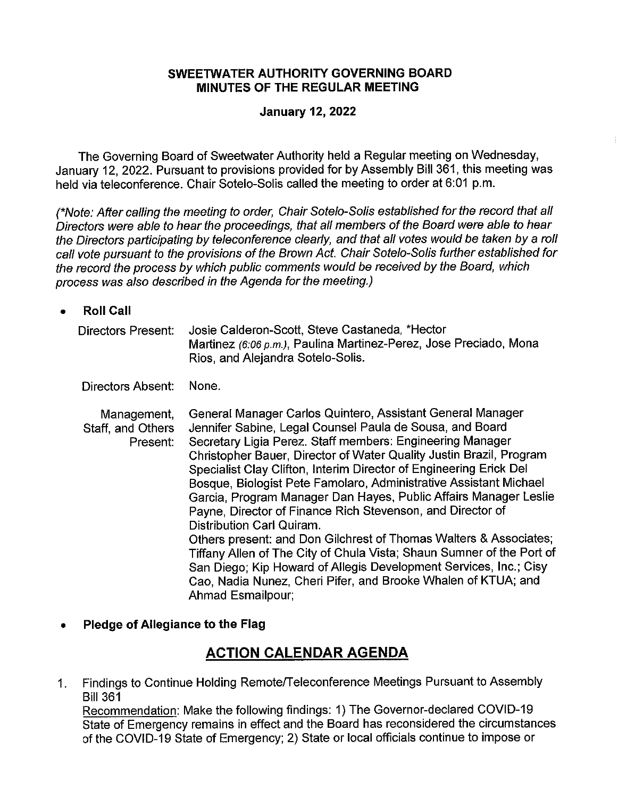#### **SWEETWATER AUTHORITY GOVERNING BOARD MINUTES OF THE REGULAR MEETING**

#### **January 12, 2022**

The Governing Board of Sweetwater Authority held a Regular meeting on Wednesday, January 12, 2022. Pursuant to provisions provided for by Assembly Bill 361, this meeting was held via teleconference. Chair Sotelo-Solis called the meeting to order at 6:01 p.m.

(\*Note: After calling the meeting to order, Chair Sotelo-Solis established for the record that all Directors were able to hear the proceedings, that all members of the Board were able to hear the Directors participating by teleconference clearly, and that all votes would be taken by a roll call vote pursuant to the provisions of the Brown Act. Chair Sotelo-Solis further established for the record the process by which public comments would be received by the Board, which process was also described in the Agenda for the meeting.)

#### • **Roll Call**

| Directors Present: | Josie Calderon-Scott, Steve Castaneda, *Hector                    |  |
|--------------------|-------------------------------------------------------------------|--|
|                    | Martinez (6:06 p.m.), Paulina Martinez-Perez, Jose Preciado, Mona |  |
|                    | Rios, and Alejandra Sotelo-Solis.                                 |  |

Directors Absent: None.

Management, Staff, and Others Present: General Manager Carlos Quintero, Assistant General Manager Jennifer Sabine, Legal Counsel Paula de Sousa, and Board Secretary Ligia Perez. Staff members: Engineering Manager Christopher Bauer, Director of Water Quality Justin Brazil, Program Specialist Clay Clifton, Interim Director of Engineering Erick Del Bosque, Biologist Pete Famolaro, Administrative Assistant Michael Garcia, Program Manager Dan Hayes, Public Affairs Manager Leslie Payne, Director of Finance Rich Stevenson, and Director of Distribution Carl Quiram. Others present: and Don Gilchrest of Thomas Walters & Associates; Tiffany Allen of The City of Chula Vista; Shaun Sumner of the Port of San Diego; Kip Howard of Allegis Development Services, Inc.; Cisy Cao, Nadia Nunez, Cheri Pifer, and Brooke Whalen of KTUA; and Ahmad Esmailpour;

#### • **Pledge of Allegiance to the Flag**

### **ACTION CALENDAR AGENDA**

1. Findings to Continue Holding Remote/Teleconference Meetings Pursuant to Assembly Bill 361

Recommendation: Make the following findings: 1) The Governor-declared COVID-19 State of Emergency remains in effect and the Board has reconsidered the circumstances of the COVID-19 State of Emergency; 2) State or local officials continue to impose or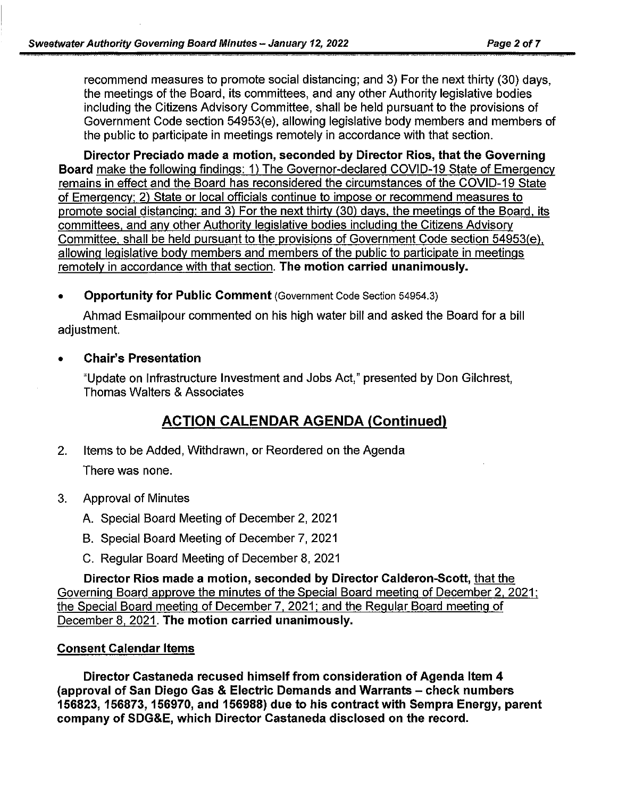recommend measures to promote social distancing; and 3) For the next thirty (30) days, the meetings of the Board, its committees, and any other Authority legislative bodies including the Citizens Advisory Committee, shall be held pursuant to the provisions of Government Code section 54953(e), allowing legislative body members and members of the public to participate in meetings remotely in accordance with that section.

**Director Preciado made a motion, seconded by Director Rios, that the Governing Board** make the following findings: 1) The Governor-declared COVID-19 State of Emergency remains in effect and the Board has reconsidered the circumstances of the COVID-19 State of Emergency: 2) State or local officials continue to impose or recommend measures to promote social distancing: and 3) For the next thirty (30) days. the meetings of the Board. its committees. and any other Authority legislative bodies including the Citizens Advisory Committee, shall be held pursuant to the provisions of Government Code section 54953(e). allowing legislative body members and members of the public to participate in meetings remotely in accordance with that section. **The motion carried unanimously.** 

• **Opportunity for Public Comment** (Government Code Section 54954.3)

Ahmad Esmailpour commented on his high water bill and asked the Board for a bill adjustment.

#### • **Chair's Presentation**

"Update on Infrastructure Investment and Jobs Act," presented by Don Gilchrest, Thomas Walters & Associates

# **ACTION CALENDAR AGENDA (Continued)**

- 2. Items to be Added, Withdrawn, or Reordered on the Agenda There was none.
- 3. Approval of Minutes
	- A. Special Board Meeting of December 2, 2021
	- B. Special Board Meeting of December 7, 2021
	- C. Regular Board Meeting of December 8, 2021

**Director Rios made a motion, seconded by Director Calderon-Scott,** that the Governing Board approve the minutes of the Special Board meeting of December 2, 2021: the Special Board meeting of December 7. 2021: and the Regular Board meeting of December 8, 2021. **The motion carried unanimously.** 

#### **Consent Calendar Items**

**Director Castaneda rec used himself from consideration of Agenda Item 4 (approval of San Diego Gas & Electric Demands and Warrants - check numbers 156823, 156873, 156970, and 156988) due to his contract with Sempra Energy, parent company of SDG&E, which Director Castaneda disclosed on the record.**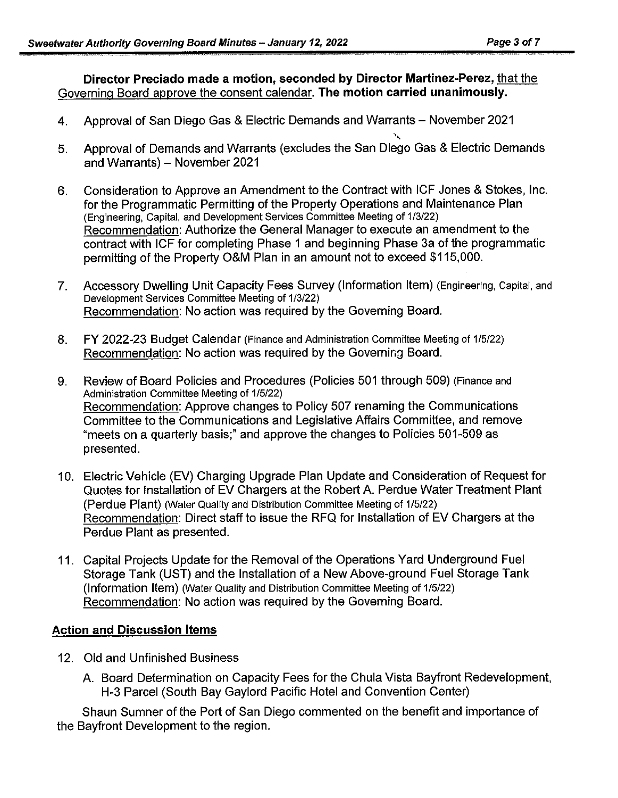**Director Preciado made a motion, seconded by Director Martinez-Perez,** that the Governing Board approve the consent calendar. **The motion carried unanimously.** 

- 4. Approval of San Diego Gas & Electric Demands and Warrants November 2021 ,,
- 5. Approval of Demands and Warrants (excludes the San Diego Gas & Electric Demands and Warrants) - November 2021
- 6. Consideration to Approve an Amendment to the Contract with ICF Jones & Stokes, Inc. for the Programmatic Permitting of the Property Operations and Maintenance Plan (Engineering, Capital, and Development Services Committee Meeting of 1/3/22) Recommendation: Authorize the General Manager to execute an amendment to the contract with ICF for completing Phase 1 and beginning Phase 3a of the programmatic permitting of the Property O&M Plan in an amount not to exceed \$115,000.
- 7. Accessory Dwelling Unit Capacity Fees Survey (Information Item) (Engineering, Capital, and Development Services Committee Meeting of 1/3/22) Recommendation: No action was required by the Governing Board.
- 8. FY 2022-23 Budget Calendar (Finance and Administration Committee Meeting of 1/5/22) Recommendation: No action was required by the Governing Board.
- 9. Review of Board Policies and Procedures (Policies 501 through 509) (Finance and Administration Committee Meeting of 1/5/22) Recommendation: Approve changes to Policy 507 renaming the Communications Committee to the Communications and Legislative Affairs Committee, and remove "meets on a quarterly basis;" and approve the changes to Policies 501-509 as presented.
- 10. Electric Vehicle (EV) Charging Upgrade Plan Update and Consideration of Request for Quotes for Installation of EV Chargers at the Robert A. Perdue Water Treatment Plant (Perdue Plant) (Water Quality and Distribution Committee Meeting of 1/5/22) Recommendation: Direct staff to issue the RFQ for Installation of EV Chargers at the Perdue Plant as presented.
- 11. Capital Projects Update for the Removal of the Operations Yard Underground Fuel Storage Tank (UST) and the Installation of a New Above-ground Fuel Storage Tank (Information Item) (Water Quality and Distribution Committee Meeting of 1/5/22) Recommendation: No action was required by the Governing Board.

#### **Action and Discussion Items**

- 12. Old and Unfinished Business
	- A. Board Determination on Capacity Fees for the Chula Vista Bayfront Redevelopment, H-3 Parcel (South Bay Gaylord Pacific Hotel and Convention Center)

Shaun Sumner of the Port of San Diego commented on the benefit and importance of the Bayfront Development to the region.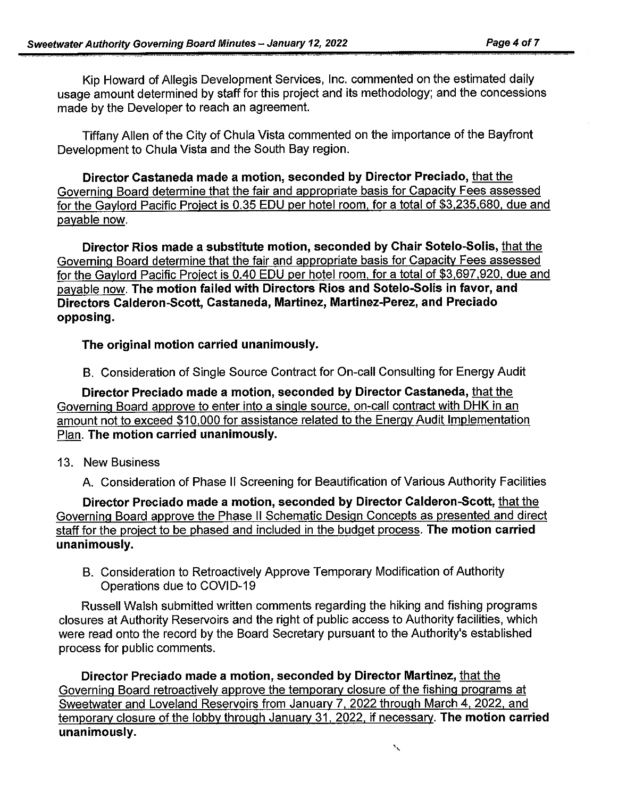Kip Howard of Allegis Development Services, Inc. commented on the estimated daily usage amount determined by staff for this project and its methodology; and the concessions made by the Developer to reach an agreement.

Tiffany Allen of the City of Chula Vista commented on the importance of the Bayfront Development to Chula Vista and the South Bay region.

**Director Castaneda made a motion, seconded by Director Preciado,** that the Governing Board determine that the fair and appropriate basis for Capacity Fees assessed for the Gaylord Pacific Project is 0.35 EDU per hotel room, for a total of \$3,235,680, due and payable now.

**Director Rios made a substitute motion, seconded by Chair Sotelo-Solis,** that the Governing Board determine that the fair and appropriate basis for Capacity Fees assessed for the Gaylord Pacific Project is 0.40 EDU per hotel room. for a total of \$3,697.920. due and payable now. **The motion failed with Directors Rios and Sotelo-Solis in favor, and Directors Calderon-Scott, Castaneda, Martinez, Martinez-Perez, and Preciado opposing.** 

### **The original motion carried unanimously.**

B. Consideration of Single Source Contract for On-call Consulting for Energy Audit

**Director Preciado made a motion, seconded by Director Castaneda,** that the Governing Board approve to enter into a single source, on-call contract with DHK in an amount not to exceed \$10,000 for assistance related to the Energy Audit Implementation Plan. **The motion carried unanimously.** 

13. New Business

A. Consideration of Phase II Screening for Beautification of Various Authority Facilities

**Director Preciado made a motion, seconded by Director Calderon-Scott,** that the Governing Board approve the Phase II Schematic Design Concepts as presented and direct staff for the project to be phased and included in the budget process. **The motion carried unanimously.** 

B. Consideration to Retroactively Approve Temporary Modification of Authority Operations due to COVID-19

Russell Walsh submitted written comments regarding the hiking and fishing programs closures at Authority Reservoirs and the right of public access to Authority facilities. which were read onto the record by the Board Secretary pursuant to the Authority's established process for public comments.

**Director Preciado made a motion, seconded by Director Martinez,** that the Governing Board retroactively approve the temporary closure of the fishing programs at Sweetwater and Loveland Reservoirs from January 7, 2022 through March 4, 2022, and temporary closure of the lobby through January 31, 2022. if necessary. **The motion carried unanimously.**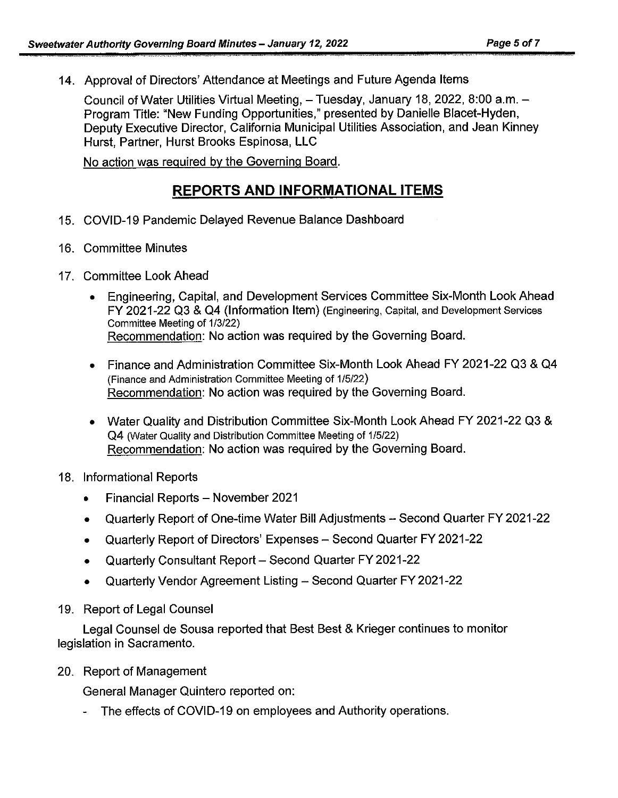14. Approval of Directors' Attendance at Meetings and Future Agenda Items

Council of Water Utilities Virtual Meeting, - Tuesday, January 18, 2022, 8:00 a.m. -Program Title: "New Funding Opportunities," presented by Danielle Blacet-Hyden, Deputy Executive Director, California Municipal Utilities Association, and Jean Kinney Hurst, Partner, Hurst Brooks Espinosa, LLC

No action was required by the Governing Board.

## **REPORTS AND INFORMATIONAL ITEMS**

- 15. COVID-19 Pandemic Delayed Revenue Balance Dashboard
- 16. Committee Minutes
- 17. Committee Look Ahead
	- Engineering, Capital, and Development Services Committee Six-Month Look Ahead FY 2021-22 Q3 & Q4 (Information Item) (Engineering, Capital, and Development Services Committee Meeting of 1/3/22) Recommendation: No action was required by the Governing Board.
	- Finance and Administration Committee Six-Month Look Ahead FY 2021-22 Q3 & Q4 (Finance and Administration Committee Meeting of 1/5/22) Recommendation: No action was required by the Governing Board.
	- Water Quality and Distribution Committee Six-Month Look Ahead FY 2021-22 Q3 & Q4 (Water Quality and Distribution Committee Meeting of 1/5/22) Recommendation: No action was required by the Governing Board.
- 18. Informational Reports
	- Financial Reports November 2021
	- Quarterly Report of One-time Water Bill Adjustments -- Second Quarter FY 2021-22
	- Quarterly Report of Directors' Expenses Second Quarter FY 2021-22
	- Quarterly Consultant Report Second Quarter FY 2021-22
	- Quarterly Vendor Agreement Listing Second Quarter FY 2021-22
- 19. Report of Legal Counsel

Legal Counsel de Sousa reported that Best Best & Krieger continues to monitor legislation in Sacramento.

20. Report of Management

General Manager Quintero reported on:

- The effects of COVID-19 on employees and Authority operations.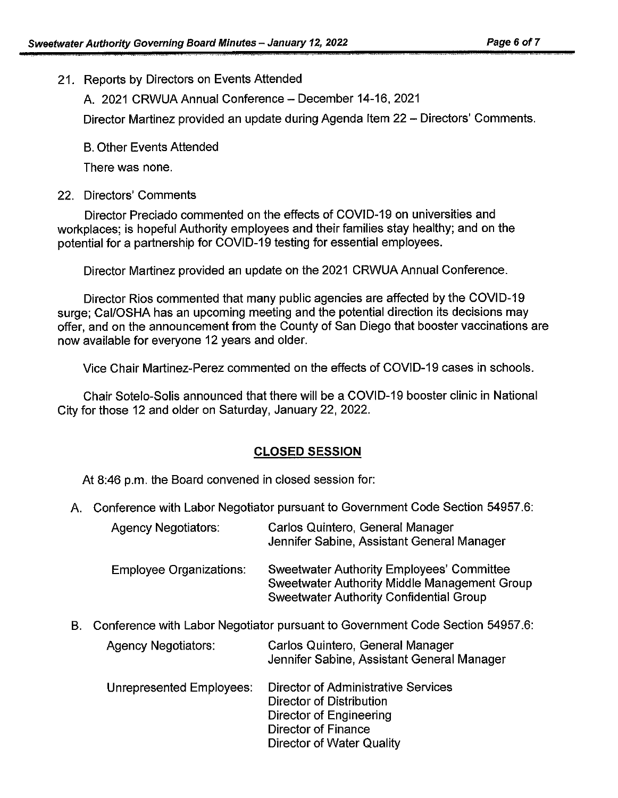21. Reports by Directors on Events Attended

A. 2021 CRWUA Annual Conference - December 14-16, 2021

Director Martinez provided an update during Agenda Item 22 - Directors' Comments.

B. Other Events Attended

There was none.

22. Directors' Comments

Director Preciado commented on the effects of COVID-19 on universities and workplaces; is hopeful Authority employees and their families stay healthy; and on the potential for a partnership for COVID-19 testing for essential employees.

Director Martinez provided an update on the 2021 CRWUA Annual Conference.

Director Rios commented that many public agencies are affected by the COVID-19 surge; Cal/OSHA has an upcoming meeting and the potential direction its decisions may offer, and on the announcement from the County of San Diego that booster vaccinations are now available for everyone 12 years and older.

Vice Chair Martinez-Perez commented on the effects of COVID-19 cases in schools.

Chair Sotelo-Solis announced that there will be a COVID-19 booster clinic in National City for those 12 and older on Saturday, January 22, 2022.

### **CLOSED SESSION**

At 8:46 p.m. the Board convened in closed session for:

A. Conference with Labor Negotiator pursuant to Government Code Section 54957.6:

|    | <b>Agency Negotiators:</b>                                                    | Carlos Quintero, General Manager<br>Jennifer Sabine, Assistant General Manager                                                              |  |
|----|-------------------------------------------------------------------------------|---------------------------------------------------------------------------------------------------------------------------------------------|--|
|    | <b>Employee Organizations:</b>                                                | Sweetwater Authority Employees' Committee<br>Sweetwater Authority Middle Management Group<br><b>Sweetwater Authority Confidential Group</b> |  |
| В. | Conference with Labor Negotiator pursuant to Government Code Section 54957.6: |                                                                                                                                             |  |
|    | <b>Agency Negotiators:</b>                                                    | Carlos Quintero, General Manager<br>Jennifer Sabine, Assistant General Manager                                                              |  |
|    | Unrepresented Employees:                                                      | Director of Administrative Services<br>Director of Distribution<br>Director of Engineering<br>Director of Finance                           |  |

#### Director of Water Quality